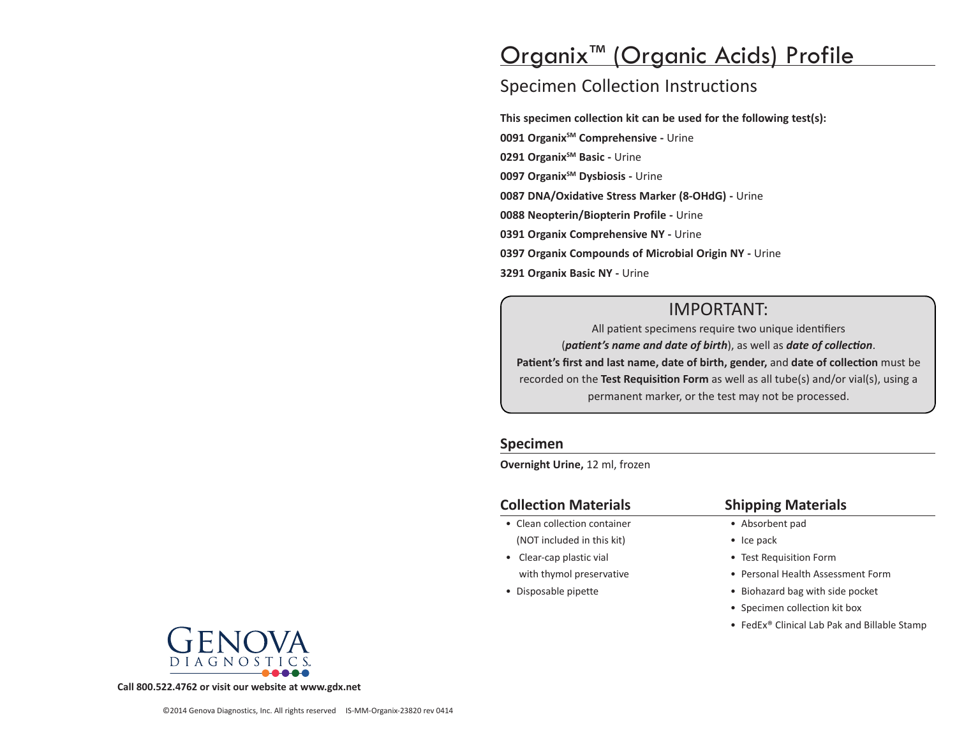# Organix™ (Organic Acids) Profile

# Specimen Collection Instructions

**This specimen collection kit can be used for the following test(s): 0091 Organix<sup>SM</sup> Comprehensive - Urine 0291 Organix<sup>SM</sup> Basic - Urine 0097 Organix<sup>SM</sup> Dysbiosis - Urine 0087 DNA/Oxidative Stress Marker (8-OHdG) -** Urine **0088 Neopterin/Biopterin Profile -** Urine **0391 Organix Comprehensive NY -** Urine **0397 Organix Compounds of Microbial Origin NY -** Urine **3291 Organix Basic NY -** Urine

# IMPORTANT:

All patient specimens require two unique identifiers (*patient's name and date of birth*), as well as *date of collection*. **Patient's first and last name, date of birth, gender,** and **date of collection** must be recorded on the **Test Requisition Form** as well as all tube(s) and/or vial(s), using a permanent marker, or the test may not be processed.

#### **Specimen**

**Overnight Urine,** 12 ml, frozen

#### **Collection Materials**

- Clean collection container (NOT included in this kit)
- Clear-cap plastic vial with thymol preservative
- Disposable pipette

#### **Shipping Materials**

- Absorbent pad
- Ice pack
- Test Requisition Form
- Personal Health Assessment Form
- Biohazard bag with side pocket
- Specimen collection kit box
- FedEx® Clinical Lab Pak and Billable Stamp



**Call 800.522.4762 or visit our website at www.gdx.net**